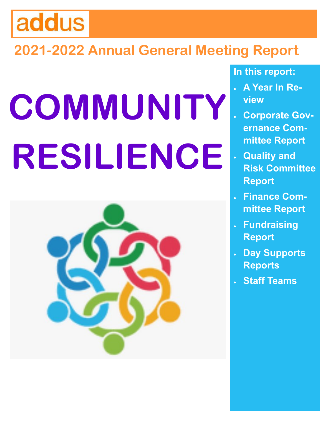# addus

# **2021-2022 Annual General Meeting Report**

# **COMMUNITY RESILIENCE**



### **In this report:**

- **A Year In Review**
- **Corporate Governance Committee Report**
- **Quality and Risk Committee Report**
- **Finance Committee Report**
- **Fundraising Report**
- **Day Supports Reports**
- **Staff Teams**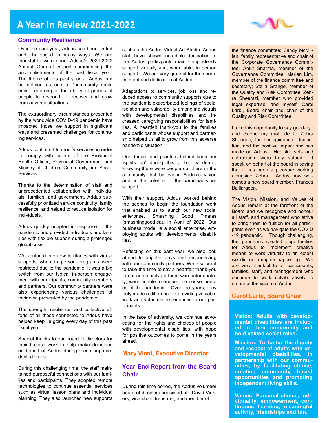

#### **Community Resilience**

Over the past year, Addus has been tested and challenged in many ways. We are thankful to write about Addus's 2021-2022 Annual General Report summarizing the accomplishments of the past fiscal year. The theme of this past year at Addus can be defined as one of "community resilience"; referring to the ability of groups of people to respond to, recover and grow from adverse situations.

The extraordinary circumstances presented by the worldwide COVID-19 pandemic have impacted those we support in significant ways and presented challenges for continuing services.

Addus continued to modify services in order to comply with orders of the Provincial Health Officer, Provincial Government and Ministry of Children, Community and Social **Services** 

Thanks to the determination of staff and unprecedented collaboration with individuals, families, and government, Addus successfully prioritized service continuity, family resilience, and helped to reduce isolation for individuals.

Addus quickly adapted in response to the pandemic and provided individuals and families with flexible support during a prolonged global crisis.

We ventured into new territories with virtual supports when in person programs were restricted due to the pandemic. It was a big switch from our typical in-person engagement with participants, community members and partners. Our community partners were also experiencing various challenges of their own presented by the pandemic.

The strength, resilience, and collective efforts of all those connected to Addus have helped keep us going every day of this past fiscal year.

Special thanks to our board of directors for their tireless work to help make decisions on behalf of Addus during these unprecedented times.

During this challenging time, the staff maintained purposeful connections with our families and participants. They adopted remote technologies to continue essential services such as virtual lesson plans and individual planning. They also launched new supports such as the Addus Virtual Art Studio. Addus staff have shown incredible dedication to the Addus participants maintaining steady support virtually and, when able, in person support. We are very grateful for their commitment and dedication at Addus.

Adaptations to services, job loss and reduced access to community supports due to the pandemic exacerbated feelings of social isolation and vulnerability among individuals with developmental disabilities and increased caregiving responsibilities for families. A heartfelt thank-you to the families and participants whose support and partnership helped us all to grow from this adverse pandemic situation.

Our donors and granters helped keep our 'spirits up' during this global pandemic; knowing there were people out there in the community that believe in Addus's Vision and, in the potential of the participants we support.

With their support, Addus worked behind the scenes to begin the foundation work that enabled us to launch our new social enterprise, Smashing Good Pinatas (smashinggood.ca), in April of 2022. Our business model is a social enterprise, employing adults with developmental disabilities.

Reflecting on this past year, we also look ahead to brighter days and reconnecting with our community partners. We also want to take the time to say a heartfelt thank-you to our community partners who unfortunately, were unable to endure the consequences of the pandemic. Over the years, they truly made a difference in providing valuable work and volunteer experiences to our participants.

In the face of adversity, we continue advocating for the rights and choices of people with developmental disabilities, with hope for positive outcomes to come in the years ahead.

#### **Mary Vieni, Executive Director**

#### **Year End Report from the Board Chair**

During this time period, the Addus volunteer board of directors consisted of: David Vickers, vice-chair, treasurer, and member of

the finance committee; Sandy McMillan, family representative and chair of the Corporate Governance Committee; Ankit Sharma, member of the Governance Committee; Marian Lim, member of the finance committee and secretary; Stella Grange, member of the Quality and Risk Committee; Zehra Sheerazi, member who provided legal expertise; and myself, Carol Larbi, Board chair and chair of the Quality and Risk Committee.

I take this opportunity to say good-bye and extend my gratitude to Zehra Sheerazi, for her guidance, dedication, and the positive impact she has made on Addus. Her skill sets and enthusiasm were truly valued. speak on behalf of the board in saying that it has been a pleasure working alongside Zehra. Addus now welcomes a new board member, Frances Baillargeon.

The Vision, Mission, and Values of Addus remain at the forefront of the Board and we recognize and honour all staff, and management who strive to bring them to fruition for all participants even as we navigate the COVID -19 pandemic. Though challenging, the pandemic created opportunities for Addus to implement creative means to work virtually to an extent we did not imagine happening. We are very thankful to all participants, families, staff, and management who continue to work collaboratively to embrace the vision of Addus.

#### **Carol Larbi, Board Chair**

**Vision: Adults with developmental disabilities are included in their community and hold valued social roles.**

**Mission: To foster the dignity and respect of adults with developmental disabilities, in partnership with our communities, by facilitating choice, creating community based opportunities and promoting independent living skills.**

**Values: Personal choice, individuality, empowerment, continuous learning, meaningful activity, friendships and fun.**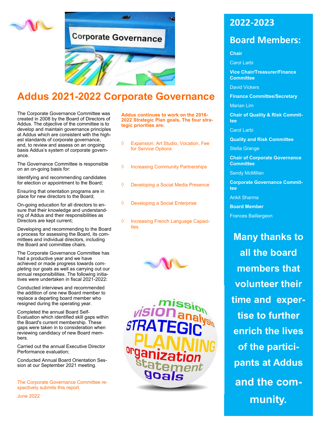



# **Addus 2021-2022 Corporate Governance**

The Corporate Governance Committee was created in 2008 by the Board of Directors of Addus. The objective of the committee is to develop and maintain governance principles at Addus which are consistent with the highest standards of corporate governance, and, to review and assess on an ongoing basis Addus's system of corporate governance.

The Governance Committee is responsible on an on-going basis for:

Identifying and recommending candidates for election or appointment to the Board;

Ensuring that orientation programs are in place for new directors to the Board;

On-going education for all directors to ensure that their knowledge and understanding of Addus and their responsibilities as Directors are kept current;

Developing and recommending to the Board a process for assessing the Board, its committees and individual directors, including the Board and committee chairs.

The Corporate Governance Committee has had a productive year and we have achieved or made progress towards completing our goals as well as carrying out our annual responsibilities. The following initiatives were undertaken in fiscal 2021-2022:

Conducted interviews and recommended the addition of one new Board member to replace a departing board member who resigned during the operating year.

Completed the annual Board Self-Evaluation which identified skill gaps within the Board's current membership. These gaps were taken in to consideration when reviewing candidacy of new Board members.

Carried out the annual Executive Director Performance evaluation;

Conducted Annual Board Orientation Session at our September 2021 meeting.

The Corporate Governance Committee respectively submits this report.

June 2022

**Addus continues to work on the 2016- 2022 Strategic Plan goals. The four strategic priorities are:**

- Expansion: Art Studio, Vocation, Fee for Service Options
- ♦ Increasing Community Partnerships
- Developing a Social Media Presence
- Developing a Social Enterprise
- ♦ Increasing French Language Capacities





### **2022-2023**

### **Board Members:**

#### **Chair**

Carol Larbi

**Vice Chair/Treasurer/Finance Committee** 

David Vickers

**Finance Committee/Secretary**

Marian Lim

**Chair of Quality & Risk Committee**

Carol Larbi

**Quality and Risk Committee**

Stella Grange

**Chair of Corporate Governance Committee**

Sandy McMillan

**Corporate Governance Committee**

Ankit Sharma

**Board Member** 

Frances Baillargeon

**Many thanks to all the board members that volunteer their time and expertise to further enrich the lives of the participants at Addus and the community.**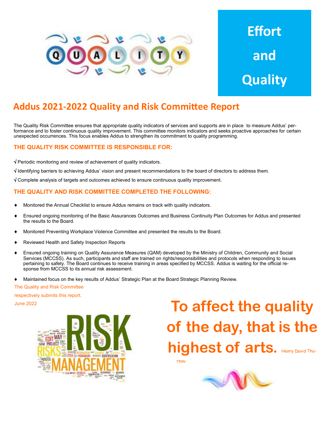

# **Effort and Quality**

### **Addus 2021-2022 Quality and Risk Committee Report**

The Quality Risk Committee ensures that appropriate quality indicators of services and supports are in place to measure Addus' performance and to foster continuous quality improvement. This committee monitors indicators and seeks proactive approaches for certain unexpected occurrences. This focus enables Addus to strengthen its commitment to quality programming.

#### **THE QUALITY RISK COMMITTEE IS RESPONSIBLE FOR:**

 $\sqrt{\frac{1}{2}}$  Periodic monitoring and review of achievement of quality indicators.

 $\sqrt{1}$  Identifying barriers to achieving Addus' vision and present recommendations to the board of directors to address them.

 $\sqrt{2}$  Complete analysis of targets and outcomes achieved to ensure continuous quality improvement.

#### **THE QUALITY AND RISK COMMITTEE COMPLETED THE FOLLOWING:**

- Monitored the Annual Checklist to ensure Addus remains on track with quality indicators.
- Ensured ongoing monitoring of the Basic Assurances Outcomes and Business Continuity Plan Outcomes for Addus and presented the results to the Board.
- Monitored Preventing Workplace Violence Committee and presented the results to the Board.
- Reviewed Health and Safety Inspection Reports
- Ensured ongoing training on Quality Assurance Measures (QAM) developed by the Ministry of Children, Community and Social Services (MCCSS). As such, participants and staff are trained on rights/responsibilities and protocols when responding to issues pertaining to safety. The Board continues to receive training in areas specified by MCCSS. Addus is waiting for the official response from MCCSS to its annual risk assessment.
- Maintained focus on the key results of Addus' Strategic Plan at the Board Strategic Planning Review.

The Quality and Risk Committee

respectively submits this report.



# **To affect the quality of the day, that is the highest of arts.** Henry David Tho-

reau

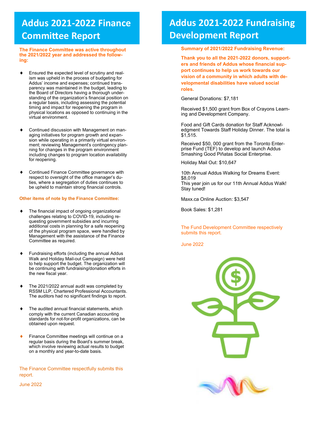### **Addus 2021-2022 Finance Committee Report**

**The Finance Committee was active throughout the 2021/2022 year and addressed the following:**

- Ensured the expected level of scrutiny and realism was upheld in the process of budgeting for Addus' income and expenses; continued transparency was maintained in the budget, leading to the Board of Directors having a thorough understanding of the organization's financial position on a regular basis, including assessing the potential timing and impact for reopening the program in physical locations as opposed to continuing in the virtual environment.
- Continued discussion with Management on managing initiatives for program growth and expansion while operating in a primarily virtual environment; reviewing Management's contingency planning for changes in the program environment including changes to program location availability for reopening.
- Continued Finance Committee governance with respect to oversight of the office manager's duties, where a segregation of duties continues to be upheld to maintain strong financial controls.

#### **Other items of note by the Finance Committee:**

- The financial impact of ongoing organizational challenges relating to COVID-19, including requesting government subsidies and incurring additional costs in planning for a safe reopening of the physical program space, were handled by Management with the assistance of the Finance Committee as required.
- Fundraising efforts (including the annual Addus Walk and Holiday Mail-out Campaign) were held to help support the budget. The organization will be continuing with fundraising/donation efforts in the new fiscal year.
- The 2021/2022 annual audit was completed by RSSM LLP, Chartered Professional Accountants. The auditors had no significant findings to report.
- The audited annual financial statements, which comply with the current Canadian accounting standards for not-for-profit organizations, can be obtained upon request.
- Finance Committee meetings will continue on a regular basis during the Board's summer break, which involve reviewing actual results to budget on a monthly and year-to-date basis.

The Finance Committee respectfully submits this report.

June 2022

## **Addus 2021-2022 Fundraising Development Report**

#### **Summary of 2021/2022 Fundraising Revenue:**

**Thank you to all the 2021-2022 donors, supporters and friends of Addus whose financial support continues to help us work towards our vision of a community in which adults with developmental disabilities have valued social roles.** 

General Donations: \$7,181

Received \$1,500 grant from Box of Crayons Learning and Development Company.

Food and Gift Cards donation for Staff Acknowledgment Towards Staff Holiday Dinner. The total is \$1,515.

Received \$50, 000 grant from the Toronto Enterprise Fund (TEF) to develop and launch Addus Smashing Good Piñatas Social Enterprise.

Holiday Mail Out: \$10,647

10th Annual Addus Walking for Dreams Event: \$8,019 This year join us for our 11th Annual Addus Walk! Stay tuned!

Maxx.ca Online Auction: \$3,547

Book Sales: \$1,281

The Fund Development Committee respectively submits this report.

June 2022

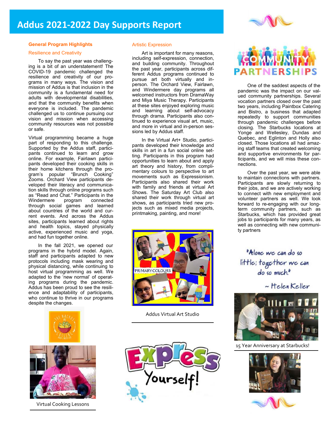

#### **General Program Highlights**

#### Resilience and Creativity

To say the past year was challenging is a bit of an understatement! The COVID-19 pandemic challenged the resilience and creativity of our programs in many ways. The vision and mission of Addus is that inclusion in the community is a fundamental need for adults with developmental disabilities, and that the community benefits when everyone is included. The pandemic challenged us to continue pursuing our vision and mission when accessing community resources was not possible or safe.

Virtual programming became a huge part of responding to this challenge. Supported by the Addus staff, participants continued to learn and grow online. For example, Fairlawn participants developed their cooking skills in their home kitchens through the program's popular "Brunch Cooking" Zooms. Orchard View participants developed their literacy and communication skills through online programs such as "Read and Chat." Participants in the Windermere through social games and learned about countries of the world and current events. And across the Addus sites, participants learned about rights and health topics, stayed physically active, experienced music and yoga, and had fun together online.

In the fall 2021, we opened our programs in the hybrid model. Again, staff and participants adapted to new protocols including mask wearing and physical distancing, while continuing to host virtual programming as well. We adapted to the 'new normal' of operating programs during the pandemic. Addus has been proud to see the resilience and adaptability of participants, who continue to thrive in our programs despite the changes.





Virtual Cooking Lessons

#### Artistic Expression

Art is important for many reasons, including self-expression, connection, and building community. Throughout the past year, participants across different Addus programs continued to pursue art both virtually and inperson. The Orchard View, Fairlawn, and Windermere day programs all welcomed instructors from DramaWay and Miya Music Therapy. Participants at these sites enjoyed exploring music and learning about self-advocacy through drama. Participants also continued to experience visual art, music, and more in virtual and in-person sessions led by Addus staff.

In the Virtual Art+ Studio, participants developed their knowledge and skills in art in a fun social online setting. Participants in this program had opportunities to learn about and apply art theory and history, from complimentary colours to perspective to art movements such as Expressionism. Participants also shared their work with family and friends at virtual Art Shows. The Saturday Art Club also shared their work through virtual art shows, as participants tried new projects such as mixed media projects, printmaking, painting, and more!



Addus Virtual Art Studio





One of the saddest aspects of the pandemic was the impact on our valued community partnerships. Several vocation partners closed over the past two years, including Paintbox Catering and Bistro, a business that adapted repeatedly to support communities through pandemic challenges before closing. The Starbucks locations at Yonge and Wellesley, Dundas and Quebec, and Eglinton and Holly also closed. Those locations all had amazing staff teams that created welcoming and supportive environments for participants, and we will miss these connections.

Over the past year, we were able to maintain connections with partners. Participants are slowly returning to their jobs, and we are actively working to connect with new employment and volunteer partners as well. We look forward to re-engaging with our longterm community partners, such as Starbucks, which has provided great jobs to participants for many years, as well as connecting with new community partners

"Alone we can do so little; together we can do so much."

~ Helen Keller



15 Year Anniversary at Starbucks!



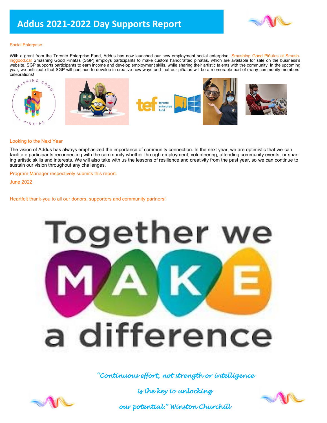

#### Social Enterprise

With a grant from the Toronto Enterprise Fund, Addus has now launched our new employment social enterprise, Smashing Good Piñatas at Smashinggood.ca! Smashing Good Piñatas (SGP) employs participants to make custom handcrafted piñatas, which are available for sale on the business's website. SGP supports participants to earn income and develop employment skills, while sharing their artistic talents with the community. In the upcoming year, we anticipate that SGP will continue to develop in creative new ways and that our piñatas will be a memorable part of many community members' celebrations!



#### Looking to the Next Year

The vision of Addus has always emphasized the importance of community connection. In the next year, we are optimistic that we can facilitate participants reconnecting with the community whether through employment, volunteering, attending community events, or sharing artistic skills and interests. We will also take with us the lessons of resilience and creativity from the past year, so we can continue to sustain our vision throughout any challenges.

Program Manager respectively submits this report.

June 2022

Heartfelt thank-you to all our donors, supporters and community partners!



#### *"Continuous effort, not strength or intelligence*

*is the key to unlocking* 





*our potential." Winston Churchill*